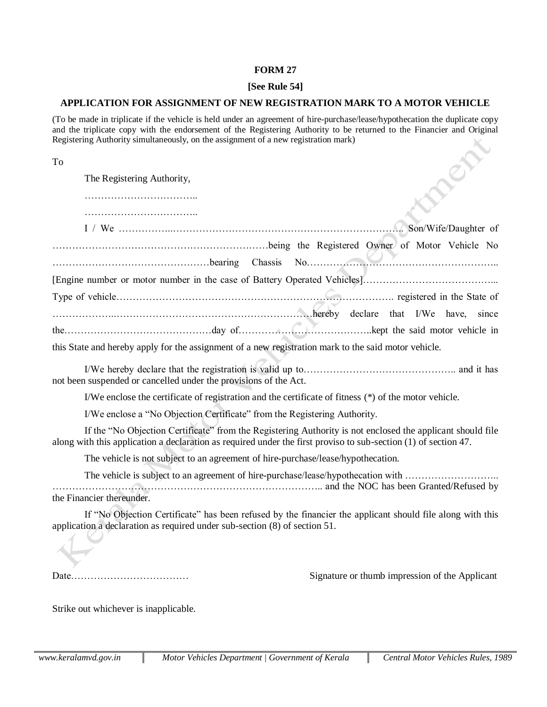### **FORM 27**

### **[See Rule 54]**

## **APPLICATION FOR ASSIGNMENT OF NEW REGISTRATION MARK TO A MOTOR VEHICLE**

(To be made in triplicate if the vehicle is held under an agreement of hire-purchase/lease/hypothecation the duplicate copy and the triplicate copy with the endorsement of the Registering Authority to be returned to the Financier and Original Registering Authority simultaneously, on the assignment of a new registration mark)  $\times$ 

| To |                                                                                                                                                                                                                               |
|----|-------------------------------------------------------------------------------------------------------------------------------------------------------------------------------------------------------------------------------|
|    | The Registering Authority,                                                                                                                                                                                                    |
|    |                                                                                                                                                                                                                               |
|    |                                                                                                                                                                                                                               |
|    |                                                                                                                                                                                                                               |
|    | bearing Chassis No.                                                                                                                                                                                                           |
|    |                                                                                                                                                                                                                               |
|    |                                                                                                                                                                                                                               |
|    |                                                                                                                                                                                                                               |
|    |                                                                                                                                                                                                                               |
|    | this State and hereby apply for the assignment of a new registration mark to the said motor vehicle.                                                                                                                          |
|    | not been suspended or cancelled under the provisions of the Act.                                                                                                                                                              |
|    | I/We enclose the certificate of registration and the certificate of fitness (*) of the motor vehicle.                                                                                                                         |
|    | I/We enclose a "No Objection Certificate" from the Registering Authority.                                                                                                                                                     |
|    | If the "No Objection Certificate" from the Registering Authority is not enclosed the applicant should file<br>along with this application a declaration as required under the first proviso to sub-section (1) of section 47. |
|    | The vehicle is not subject to an agreement of hire-purchase/lease/hypothecation.                                                                                                                                              |
|    | The vehicle is subject to an agreement of hire-purchase/lease/hypothecation with<br>and the NOC has been Granted/Refused by                                                                                                   |
|    | the Financier thereunder.                                                                                                                                                                                                     |
|    | If "No Objection Certificate" has been refused by the financier the applicant should file along with this<br>application a declaration as required under sub-section (8) of section 51.                                       |
|    |                                                                                                                                                                                                                               |

Date……………………………… Signature or thumb impression of the Applicant

Strike out whichever is inapplicable.